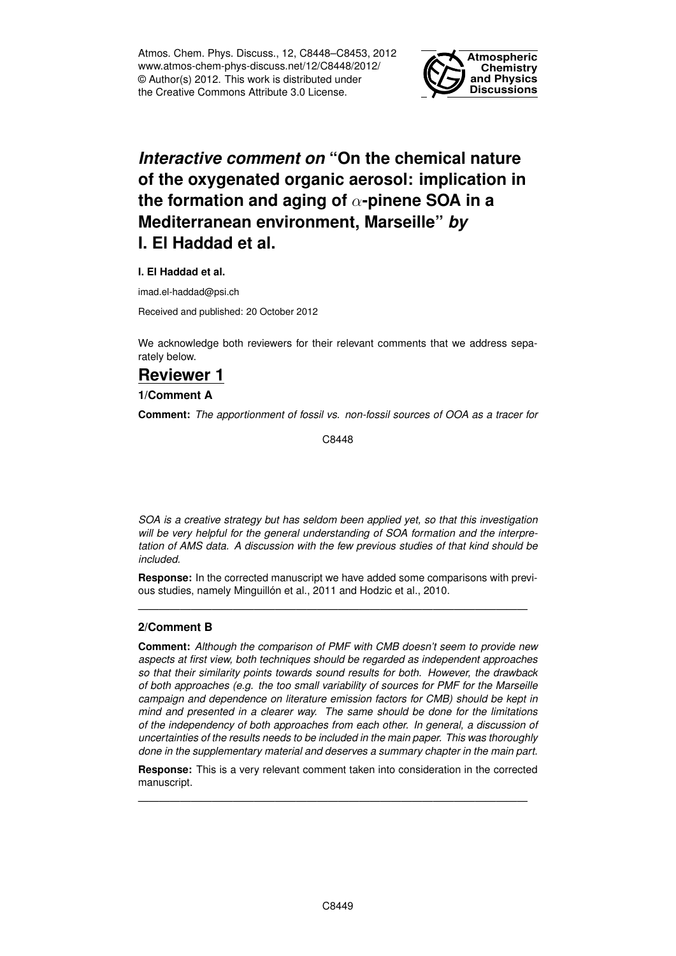Atmos. Chem. Phys. Discuss., 12, C8448–C8453, 2012 www.atmos-chem-phys-discuss.net/12/C8448/2012/ © Author(s) 2012. This work is distributed under the Creative Commons Attribute 3.0 License.



# *Interactive comment on* **"On the chemical nature of the oxygenated organic aerosol: implication in the formation and aging of** α**-pinene SOA in a Mediterranean environment, Marseille"** *by* **I. El Haddad et al.**

**I. El Haddad et al.**

imad.el-haddad@psi.ch

Received and published: 20 October 2012

We acknowledge both reviewers for their relevant comments that we address separately below.

## **Reviewer 1**

**1/Comment A**

**Comment:** *The apportionment of fossil vs. non-fossil sources of OOA as a tracer for*

C8448

*SOA is a creative strategy but has seldom been applied yet, so that this investigation will be very helpful for the general understanding of SOA formation and the interpretation of AMS data. A discussion with the few previous studies of that kind should be included.*

**Response:** In the corrected manuscript we have added some comparisons with previous studies, namely Minguillón et al., 2011 and Hodzic et al., 2010.

—————————————————————————————————————

### **2/Comment B**

**Comment:** *Although the comparison of PMF with CMB doesn't seem to provide new aspects at first view, both techniques should be regarded as independent approaches so that their similarity points towards sound results for both. However, the drawback of both approaches (e.g. the too small variability of sources for PMF for the Marseille campaign and dependence on literature emission factors for CMB) should be kept in mind and presented in a clearer way. The same should be done for the limitations of the independency of both approaches from each other. In general, a discussion of uncertainties of the results needs to be included in the main paper. This was thoroughly done in the supplementary material and deserves a summary chapter in the main part.*

**Response:** This is a very relevant comment taken into consideration in the corrected manuscript.

—————————————————————————————————————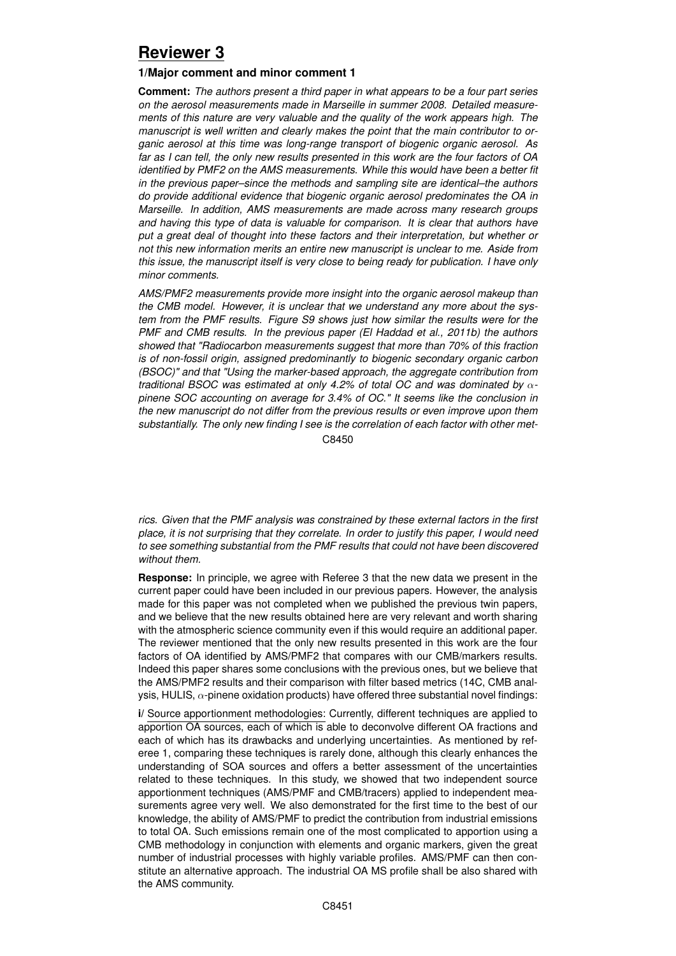## **Reviewer 3**

### **1/Major comment and minor comment 1**

**Comment:** *The authors present a third paper in what appears to be a four part series on the aerosol measurements made in Marseille in summer 2008. Detailed measurements of this nature are very valuable and the quality of the work appears high. The manuscript is well written and clearly makes the point that the main contributor to organic aerosol at this time was long-range transport of biogenic organic aerosol. As far as I can tell, the only new results presented in this work are the four factors of OA identified by PMF2 on the AMS measurements. While this would have been a better fit in the previous paper–since the methods and sampling site are identical–the authors do provide additional evidence that biogenic organic aerosol predominates the OA in Marseille. In addition, AMS measurements are made across many research groups and having this type of data is valuable for comparison. It is clear that authors have put a great deal of thought into these factors and their interpretation, but whether or not this new information merits an entire new manuscript is unclear to me. Aside from this issue, the manuscript itself is very close to being ready for publication. I have only minor comments.*

*AMS/PMF2 measurements provide more insight into the organic aerosol makeup than the CMB model. However, it is unclear that we understand any more about the system from the PMF results. Figure S9 shows just how similar the results were for the PMF and CMB results. In the previous paper (El Haddad et al., 2011b) the authors showed that "Radiocarbon measurements suggest that more than 70% of this fraction is of non-fossil origin, assigned predominantly to biogenic secondary organic carbon (BSOC)" and that "Using the marker-based approach, the aggregate contribution from traditional BSOC was estimated at only 4.2% of total OC and was dominated by* α*pinene SOC accounting on average for 3.4% of OC." It seems like the conclusion in the new manuscript do not differ from the previous results or even improve upon them substantially. The only new finding I see is the correlation of each factor with other met-*C8450

*rics. Given that the PMF analysis was constrained by these external factors in the first place, it is not surprising that they correlate. In order to justify this paper, I would need to see something substantial from the PMF results that could not have been discovered without them.*

**Response:** In principle, we agree with Referee 3 that the new data we present in the current paper could have been included in our previous papers. However, the analysis made for this paper was not completed when we published the previous twin papers, and we believe that the new results obtained here are very relevant and worth sharing with the atmospheric science community even if this would require an additional paper. The reviewer mentioned that the only new results presented in this work are the four factors of OA identified by AMS/PMF2 that compares with our CMB/markers results. Indeed this paper shares some conclusions with the previous ones, but we believe that the AMS/PMF2 results and their comparison with filter based metrics (14C, CMB analysis, HULIS,  $\alpha$ -pinene oxidation products) have offered three substantial novel findings:

**i/** Source apportionment methodologies: Currently, different techniques are applied to apportion OA sources, each of which is able to deconvolve different OA fractions and each of which has its drawbacks and underlying uncertainties. As mentioned by referee 1, comparing these techniques is rarely done, although this clearly enhances the understanding of SOA sources and offers a better assessment of the uncertainties related to these techniques. In this study, we showed that two independent source apportionment techniques (AMS/PMF and CMB/tracers) applied to independent measurements agree very well. We also demonstrated for the first time to the best of our knowledge, the ability of AMS/PMF to predict the contribution from industrial emissions to total OA. Such emissions remain one of the most complicated to apportion using a CMB methodology in conjunction with elements and organic markers, given the great number of industrial processes with highly variable profiles. AMS/PMF can then constitute an alternative approach. The industrial OA MS profile shall be also shared with the AMS community.